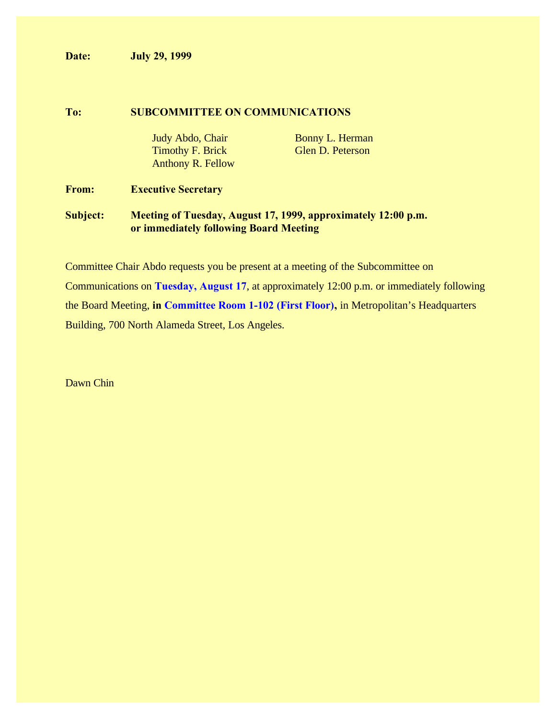**Date: July 29, 1999**

#### **To: SUBCOMMITTEE ON COMMUNICATIONS**

Timothy F. Brick Glen D. Peterson Anthony R. Fellow

Judy Abdo, Chair Bonny L. Herman

## **From: Executive Secretary**

# **Subject: Meeting of Tuesday, August 17, 1999, approximately 12:00 p.m. or immediately following Board Meeting**

Committee Chair Abdo requests you be present at a meeting of the Subcommittee on Communications on **Tuesday, August 17**, at approximately 12:00 p.m. or immediately following the Board Meeting, **in Committee Room 1-102 (First Floor),** in Metropolitan's Headquarters Building, 700 North Alameda Street, Los Angeles.

Dawn Chin